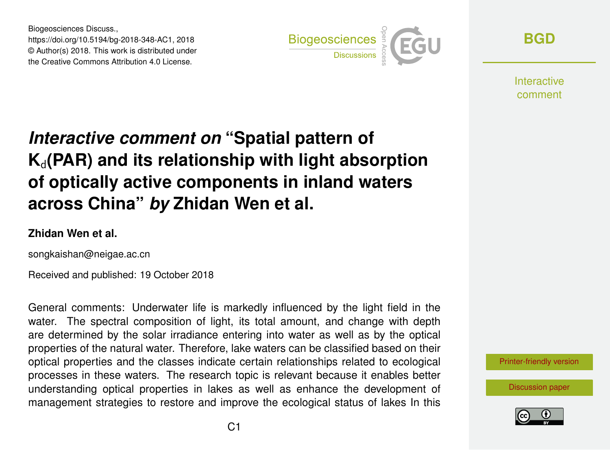Biogeosciences Discuss., https://doi.org/10.5194/bg-2018-348-AC1, 2018 © Author(s) 2018. This work is distributed under the Creative Commons Attribution 4.0 License.



**[BGD](https://www.biogeosciences-discuss.net/)**

**Interactive** comment

## *Interactive comment on* **"Spatial pattern of**  $K_d$ (PAR) and its relationship with light absorption **of optically active components in inland waters across China"** *by* **Zhidan Wen et al.**

## **Zhidan Wen et al.**

songkaishan@neigae.ac.cn

Received and published: 19 October 2018

General comments: Underwater life is markedly influenced by the light field in the water. The spectral composition of light, its total amount, and change with depth are determined by the solar irradiance entering into water as well as by the optical properties of the natural water. Therefore, lake waters can be classified based on their optical properties and the classes indicate certain relationships related to ecological processes in these waters. The research topic is relevant because it enables better understanding optical properties in lakes as well as enhance the development of management strategies to restore and improve the ecological status of lakes In this



[Discussion paper](https://www.biogeosciences-discuss.net/bg-2018-348)